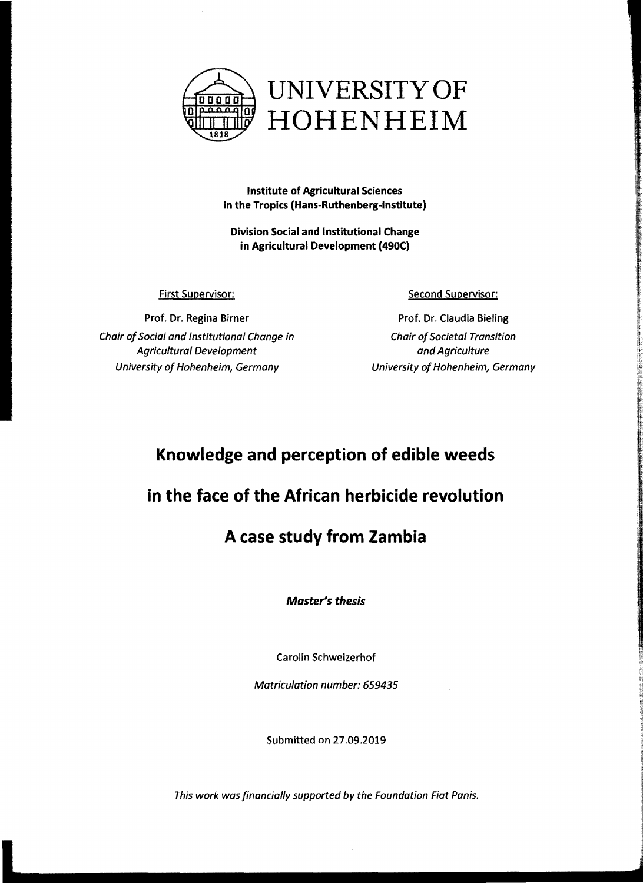

**Institute of Agricultural Sciences in the Tropics (Hans-Ruthenberg-Institute)** 

**Division Social and Institutional Change in Agricultural Development (490C)** 

First Supervisor:

Prof. Dr. Regina Birner Chair of Social and Institutional Change in Agricultural Development University of Hohenheim, Germany

Second Supervisor:

Prof. Dr. Claudia Bieling **Chair of Societal Transition** and Agriculture University of Hohenheim, Germany

# **Knowledge and perception of edible weeds**

### **in the face of the African herbicide revolution**

# **A case study from Zambia**

*Master's thesis* 

Carolin Schweizerhof

Matriculation number: 659435

Submitted on 27.09.2019

This work was financially supported by the Foundation Fiat Panis.

i de la provincia de la provincia de la provincia de la provincia de la provincia de la provincia de la provin<br>Il provincia de la provincia de la provincia de la provincia de la provincia de la provincia de la provincia d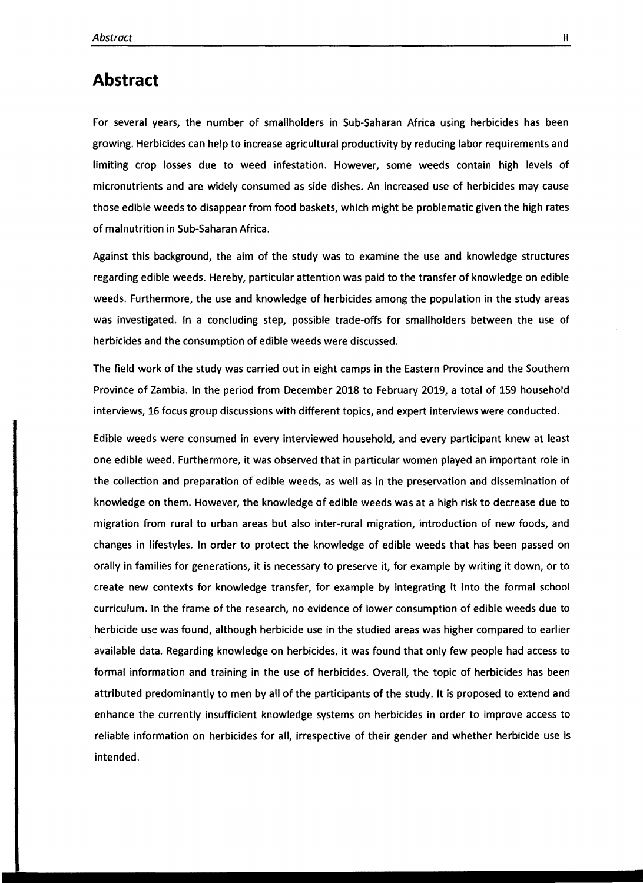#### **Abstract**

For several years, the number of smallholders in Sub-Saharan Africa using herbicides has been growing. Herbicides can help to increase agricultural productivity by reducing labor requirements and limiting crop losses due to weed infestation. However, some weeds contain high levels of micronutrients and are widely consumed as side dishes. An increased use of herbicides may cause those edible weeds to disappear from food baskets, which might be problematic given the high rates of malnutrition in Sub-Saharan Africa.

Against this background, the aim of the study was to examine the use and knowledge structures regarding edible weeds. Hereby, particular attention was paid to the transfer of knowledge on edible weeds. Furthermore, the use and knowledge of herbicides among the population in the study areas was investigated. In a concluding step, possible trade-offs for smallholders between the use of herbicides and the consumption of edible weeds were discussed.

The field work of the study was carried out in eight camps in the Eastern Province and the Southern Province of Zambia. In the period from December 2018 to February 2019, a total of 159 household interviews, 16 focus group discussions with different topics, and expert interviews were conducted.

Edible weeds were consumed in every interviewed household, and every participant knew at least one edible weed. Furthermore, it was observed that in particular women played an important role in the collection and preparation of edible weeds, as weil as in the preservation and dissemination of knowledge on them. However, the knowledge of edible weeds was at a high risk to decrease due to migration from rural to urban areas but also inter-rural migration, introduction of new foods, and changes in lifestyles. In order to protect the knowledge of edible weeds that has been passed on orally in families for generations, it is necessary to preserve it, for example by writing it down, or to create new contexts for knowledge transfer, for example by integrating it into the formal school curriculum. In the frame of the research, no evidence of lower consumption of edible weeds due to herbicide use was found, although herbicide use in the studied areas was higher compared to earlier available data. Regarding knowledge on herbicides, it was found that only few people had access to formal information and training in the use of herbicides. Overall, the topic of herbicides has been attributed predominantly to men by all of the participants of the study. It is proposed to extend and enhance the currently insufficient knowledge systems on herbicides in order to improve access to reliable information on herbicides for all, irrespective of their gender and whether herbicide use is intended.